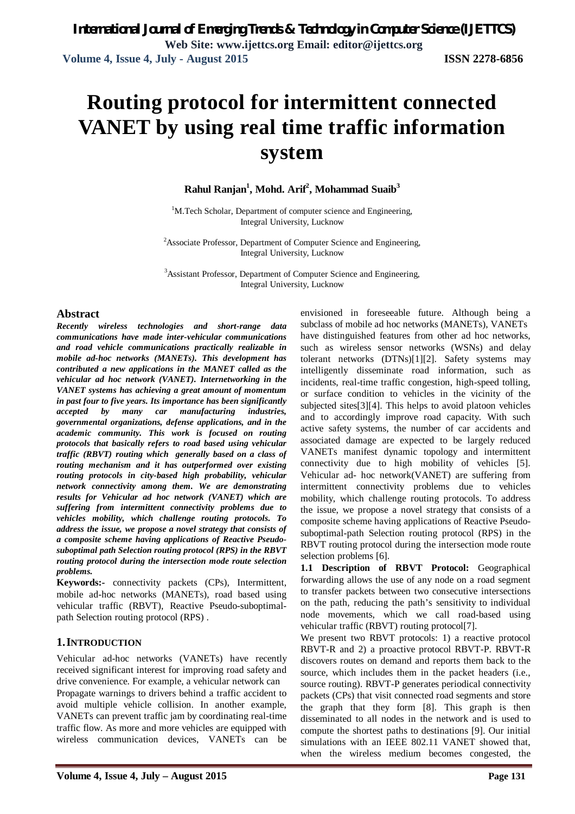# **Routing protocol for intermittent connected VANET by using real time traffic information system**

**Rahul Ranjan<sup>1</sup> , Mohd. Arif<sup>2</sup> , Mohammad Suaib<sup>3</sup>**

<sup>1</sup>M.Tech Scholar, Department of computer science and Engineering, Integral University, Lucknow

<sup>2</sup>Associate Professor, Department of Computer Science and Engineering, Integral University, Lucknow

<sup>3</sup>Assistant Professor, Department of Computer Science and Engineering, Integral University, Lucknow

# **Abstract**

*Recently wireless technologies and short-range data communications have made inter-vehicular communications and road vehicle communications practically realizable in mobile ad-hoc networks (MANETs). This development has contributed a new applications in the MANET called as the vehicular ad hoc network (VANET). Internetworking in the VANET systems has achieving a great amount of momentum in past four to five years. Its importance has been significantly accepted by many car manufacturing industries, governmental organizations, defense applications, and in the academic community. This work is focused on routing protocols that basically refers to road based using vehicular traffic (RBVT) routing which generally based on a class of routing mechanism and it has outperformed over existing routing protocols in city-based high probability, vehicular network connectivity among them. We are demonstrating results for Vehicular ad hoc network (VANET) which are suffering from intermittent connectivity problems due to vehicles mobility, which challenge routing protocols. To address the issue, we propose a novel strategy that consists of a composite scheme having applications of Reactive Pseudosuboptimal path Selection routing protocol (RPS) in the RBVT routing protocol during the intersection mode route selection problems.*

**Keywords:-** connectivity packets (CPs), Intermittent, mobile ad-hoc networks (MANETs), road based using vehicular traffic (RBVT), Reactive Pseudo-suboptimalpath Selection routing protocol (RPS) .

# **1.INTRODUCTION**

Vehicular ad-hoc networks (VANETs) have recently received significant interest for improving road safety and drive convenience. For example, a vehicular network can Propagate warnings to drivers behind a traffic accident to avoid multiple vehicle collision. In another example, VANETs can prevent traffic jam by coordinating real-time traffic flow. As more and more vehicles are equipped with wireless communication devices, VANETs can be

envisioned in foreseeable future. Although being a subclass of mobile ad hoc networks (MANETs), VANETs have distinguished features from other ad hoc networks, such as wireless sensor networks (WSNs) and delay tolerant networks (DTNs)[1][2]. Safety systems may intelligently disseminate road information, such as incidents, real-time traffic congestion, high-speed tolling, or surface condition to vehicles in the vicinity of the subjected sites[3][4]. This helps to avoid platoon vehicles and to accordingly improve road capacity. With such active safety systems, the number of car accidents and associated damage are expected to be largely reduced VANETs manifest dynamic topology and intermittent connectivity due to high mobility of vehicles [5]. Vehicular ad- hoc network(VANET) are suffering from intermittent connectivity problems due to vehicles mobility, which challenge routing protocols. To address the issue, we propose a novel strategy that consists of a composite scheme having applications of Reactive Pseudosuboptimal-path Selection routing protocol (RPS) in the RBVT routing protocol during the intersection mode route selection problems [6].

**1.1 Description of RBVT Protocol:** Geographical forwarding allows the use of any node on a road segment to transfer packets between two consecutive intersections on the path, reducing the path's sensitivity to individual node movements, which we call road-based using vehicular traffic (RBVT) routing protocol[7].

We present two RBVT protocols: 1) a reactive protocol RBVT-R and 2) a proactive protocol RBVT-P. RBVT-R discovers routes on demand and reports them back to the source, which includes them in the packet headers (i.e., source routing). RBVT-P generates periodical connectivity packets (CPs) that visit connected road segments and store the graph that they form [8]. This graph is then disseminated to all nodes in the network and is used to compute the shortest paths to destinations [9]. Our initial simulations with an IEEE 802.11 VANET showed that, when the wireless medium becomes congested, the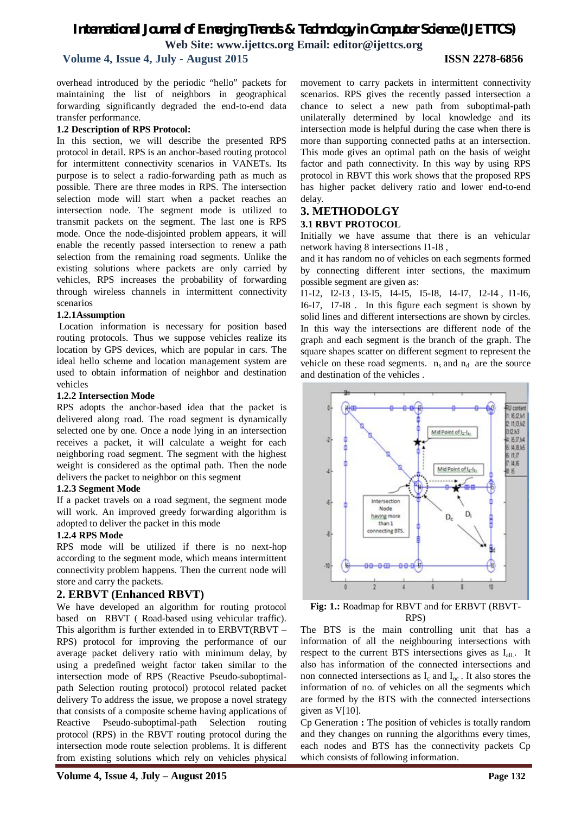# *International Journal of Emerging Trends & Technology in Computer Science (IJETTCS)* **Web Site: www.ijettcs.org Email: editor@ijettcs.org**

# **Volume 4, Issue 4, July - August 2015 ISSN 2278-6856**

overhead introduced by the periodic "hello" packets for maintaining the list of neighbors in geographical forwarding significantly degraded the end-to-end data transfer performance.

#### **1.2 Description of RPS Protocol:**

In this section, we will describe the presented RPS protocol in detail. RPS is an anchor-based routing protocol for intermittent connectivity scenarios in VANETs. Its purpose is to select a radio-forwarding path as much as possible. There are three modes in RPS. The intersection selection mode will start when a packet reaches an intersection node. The segment mode is utilized to transmit packets on the segment. The last one is RPS mode. Once the node-disjointed problem appears, it will enable the recently passed intersection to renew a path selection from the remaining road segments. Unlike the existing solutions where packets are only carried by vehicles, RPS increases the probability of forwarding through wireless channels in intermittent connectivity scenarios

### **1.2.1Assumption**

Location information is necessary for position based routing protocols. Thus we suppose vehicles realize its location by GPS devices, which are popular in cars. The ideal hello scheme and location management system are used to obtain information of neighbor and destination vehicles

### **1.2.2 Intersection Mode**

RPS adopts the anchor-based idea that the packet is delivered along road. The road segment is dynamically selected one by one. Once a node lying in an intersection receives a packet, it will calculate a weight for each neighboring road segment. The segment with the highest weight is considered as the optimal path. Then the node delivers the packet to neighbor on this segment

### **1.2.3 Segment Mode**

If a packet travels on a road segment, the segment mode will work. An improved greedy forwarding algorithm is adopted to deliver the packet in this mode

### **1.2.4 RPS Mode**

RPS mode will be utilized if there is no next-hop according to the segment mode, which means intermittent connectivity problem happens. Then the current node will store and carry the packets.

# **2. ERBVT (Enhanced RBVT)**

We have developed an algorithm for routing protocol based on RBVT ( Road-based using vehicular traffic). This algorithm is further extended in to ERBVT(RBVT – RPS) protocol for improving the performance of our average packet delivery ratio with minimum delay, by using a predefined weight factor taken similar to the intersection mode of RPS (Reactive Pseudo-suboptimalpath Selection routing protocol) protocol related packet delivery To address the issue, we propose a novel strategy that consists of a composite scheme having applications of Reactive Pseudo-suboptimal-path Selection routing protocol (RPS) in the RBVT routing protocol during the intersection mode route selection problems. It is different from existing solutions which rely on vehicles physical movement to carry packets in intermittent connectivity scenarios. RPS gives the recently passed intersection a chance to select a new path from suboptimal-path unilaterally determined by local knowledge and its intersection mode is helpful during the case when there is more than supporting connected paths at an intersection. This mode gives an optimal path on the basis of weight factor and path connectivity. In this way by using RPS protocol in RBVT this work shows that the proposed RPS has higher packet delivery ratio and lower end-to-end delay.

#### **3. METHODOLGY 3.1 RBVT PROTOCOL**

Initially we have assume that there is an vehicular network having 8 intersections I1-I8 ,

and it has random no of vehicles on each segments formed by connecting different inter sections, the maximum possible segment are given as:

I1-I2, I2-I3 , I3-I5, I4-I5, I5-I8, I4-I7, I2-I4 , I1-I6, I6-I7, I7-I8 . In this figure each segment is shown by solid lines and different intersections are shown by circles. In this way the intersections are different node of the graph and each segment is the branch of the graph. The square shapes scatter on different segment to represent the vehicle on these road segments.  $n_s$  and  $n_d$  are the source and destination of the vehicles .



**Fig: 1.:** Roadmap for RBVT and for ERBVT (RBVT-RPS)

The BTS is the main controlling unit that has a information of all the neighbouring intersections with respect to the current BTS intersections gives as  $I_{all}$ . It also has information of the connected intersections and non connected intersections as  $I_c$  and  $I_{nc}$ . It also stores the information of no. of vehicles on all the segments which are formed by the BTS with the connected intersections given as V[10].

Cp Generation **:** The position of vehicles is totally random and they changes on running the algorithms every times, each nodes and BTS has the connectivity packets Cp which consists of following information.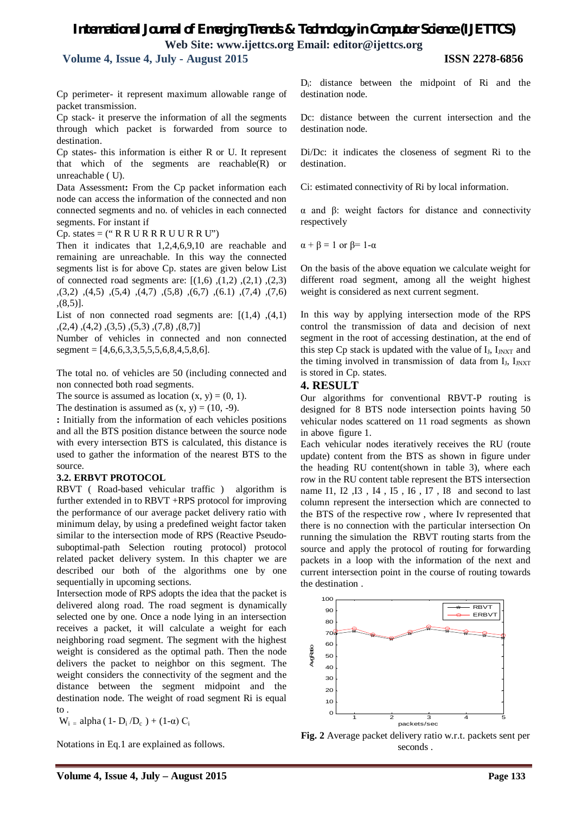# *International Journal of Emerging Trends & Technology in Computer Science (IJETTCS)* **Web Site: www.ijettcs.org Email: editor@ijettcs.org**

 **Volume 4, Issue 4, July - August 2015 ISSN 2278-6856**

Cp perimeter- it represent maximum allowable range of packet transmission.

Cp stack- it preserve the information of all the segments through which packet is forwarded from source to destination.

Cp states- this information is either R or U. It represent that which of the segments are reachable(R) or unreachable ( U).

Data Assessment**:** From the Cp packet information each node can access the information of the connected and non connected segments and no. of vehicles in each connected segments. For instant if

 $Cp.$  states = (" $R R U R R U U R R U$ ")

Then it indicates that 1,2,4,6,9,10 are reachable and remaining are unreachable. In this way the connected segments list is for above Cp. states are given below List of connected road segments are:  $[(1,6), (1,2), (2,1), (2,3)]$ ,(3,2) ,(4,5) ,(5,4) ,(4,7) ,(5,8) ,(6,7) ,(6.1) ,(7,4) ,(7,6) ,(8,5)].

List of non connected road segments are:  $[(1,4), (4,1)]$  $(2,4)$ , $(4,2)$ , $(3,5)$ , $(5,3)$ , $(7,8)$ , $(8,7)$ ]

Number of vehicles in connected and non connected segment =  $[4,6,6,3,3,5,5,5,6,8,4,5,8,6]$ .

The total no. of vehicles are 50 (including connected and non connected both road segments.

The source is assumed as location  $(x, y) = (0, 1)$ .

The destination is assumed as  $(x, y) = (10, -9)$ .

**:** Initially from the information of each vehicles positions and all the BTS position distance between the source node with every intersection BTS is calculated, this distance is used to gather the information of the nearest BTS to the source.

### **3.2. ERBVT PROTOCOL**

RBVT ( Road-based vehicular traffic ) algorithm is further extended in to RBVT +RPS protocol for improving the performance of our average packet delivery ratio with minimum delay, by using a predefined weight factor taken similar to the intersection mode of RPS (Reactive Pseudosuboptimal-path Selection routing protocol) protocol related packet delivery system. In this chapter we are described our both of the algorithms one by one sequentially in upcoming sections.

Intersection mode of RPS adopts the idea that the packet is delivered along road. The road segment is dynamically selected one by one. Once a node lying in an intersection receives a packet, it will calculate a weight for each neighboring road segment. The segment with the highest weight is considered as the optimal path. Then the node delivers the packet to neighbor on this segment. The weight considers the connectivity of the segment and the distance between the segment midpoint and the destination node. The weight of road segment Ri is equal to .

 $W_i$ <sub>=</sub> alpha (1- D<sub>i</sub>/D<sub>c</sub>) + (1-α) C<sub>i</sub>

Notations in Eq.1 are explained as follows.

Di : distance between the midpoint of Ri and the destination node.

Dc: distance between the current intersection and the destination node.

Di/Dc: it indicates the closeness of segment Ri to the destination.

Ci: estimated connectivity of Ri by local information.

α and β: weight factors for distance and connectivity respectively

 $\alpha + \beta = 1$  or  $\beta = 1-\alpha$ 

On the basis of the above equation we calculate weight for different road segment, among all the weight highest weight is considered as next current segment.

In this way by applying intersection mode of the RPS control the transmission of data and decision of next segment in the root of accessing destination, at the end of this step Cp stack is updated with the value of  $I_J$ ,  $I_{JNXT}$  and the timing involved in transmission of data from  $I_J$ ,  $I_{J\text{NXT}}$ is stored in Cp. states.

# **4. RESULT**

Our algorithms for conventional RBVT-P routing is designed for 8 BTS node intersection points having 50 vehicular nodes scattered on 11 road segments as shown in above figure 1.

Each vehicular nodes iteratively receives the RU (route update) content from the BTS as shown in figure under the heading RU content(shown in table 3), where each row in the RU content table represent the BTS intersection name I1, I2 ,I3 , I4 , I5 , I6 , I7 , I8 and second to last column represent the intersection which are connected to the BTS of the respective row , where Iv represented that there is no connection with the particular intersection On running the simulation the RBVT routing starts from the source and apply the protocol of routing for forwarding packets in a loop with the information of the next and current intersection point in the course of routing towards the destination .



**Fig. 2** Average packet delivery ratio w.r.t. packets sent per seconds .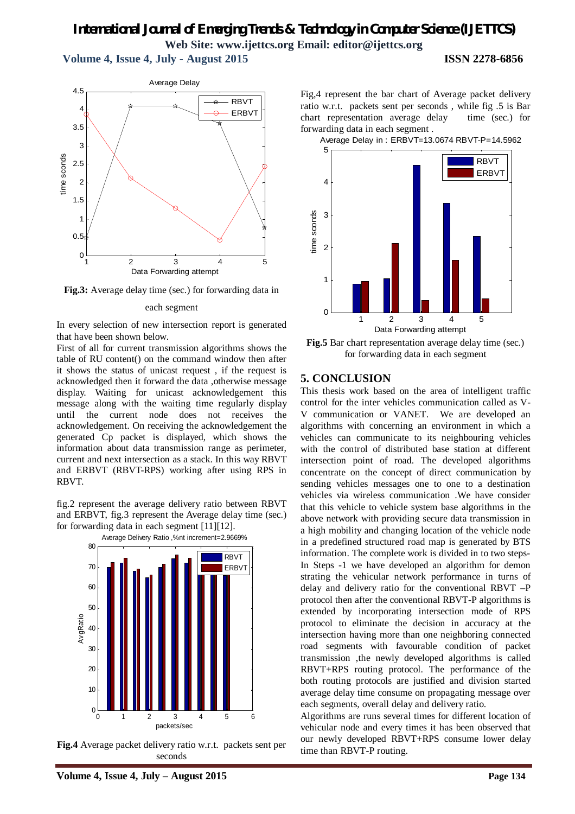# *International Journal of Emerging Trends & Technology in Computer Science (IJETTCS)* **Web Site: www.ijettcs.org Email: editor@ijettcs.org Volume 4, Issue 4, July - August 2015 ISSN 2278-6856**

1 2 3 4 5 0  $0.5$ 1 1.5 2 2.5 3 3.5 4 4.5 time sconds Data Forwarding attempt Average Delay RBVT ERBVT

**Fig.3:** Average delay time (sec.) for forwarding data in

#### each segment

In every selection of new intersection report is generated that have been shown below.

First of all for current transmission algorithms shows the table of RU content() on the command window then after it shows the status of unicast request , if the request is acknowledged then it forward the data ,otherwise message display. Waiting for unicast acknowledgement this message along with the waiting time regularly display until the current node does not receives the acknowledgement. On receiving the acknowledgement the generated Cp packet is displayed, which shows the information about data transmission range as perimeter, current and next intersection as a stack. In this way RBVT and ERBVT (RBVT-RPS) working after using RPS in RBVT.

fig.2 represent the average delivery ratio between RBVT and ERBVT, fig.3 represent the Average delay time (sec.) for forwarding data in each segment [11][12].





**Fig.4** Average packet delivery ratio w.r.t. packets sent per seconds

Average Delay in : ERBVT=13.0674 RBVT-P=14.5962



**Fig.5** Bar chart representation average delay time (sec.) for forwarding data in each segment

# **5. CONCLUSION**

This thesis work based on the area of intelligent traffic control for the inter vehicles communication called as V-V communication or VANET. We are developed an algorithms with concerning an environment in which a vehicles can communicate to its neighbouring vehicles with the control of distributed base station at different intersection point of road. The developed algorithms concentrate on the concept of direct communication by sending vehicles messages one to one to a destination vehicles via wireless communication .We have consider that this vehicle to vehicle system base algorithms in the above network with providing secure data transmission in a high mobility and changing location of the vehicle node in a predefined structured road map is generated by BTS information. The complete work is divided in to two steps-In Steps -1 we have developed an algorithm for demon strating the vehicular network performance in turns of delay and delivery ratio for the conventional RBVT –P protocol then after the conventional RBVT-P algorithms is extended by incorporating intersection mode of RPS protocol to eliminate the decision in accuracy at the intersection having more than one neighboring connected road segments with favourable condition of packet transmission ,the newly developed algorithms is called RBVT+RPS routing protocol. The performance of the both routing protocols are justified and division started average delay time consume on propagating message over each segments, overall delay and delivery ratio.

Algorithms are runs several times for different location of vehicular node and every times it has been observed that our newly developed RBVT+RPS consume lower delay time than RBVT-P routing.